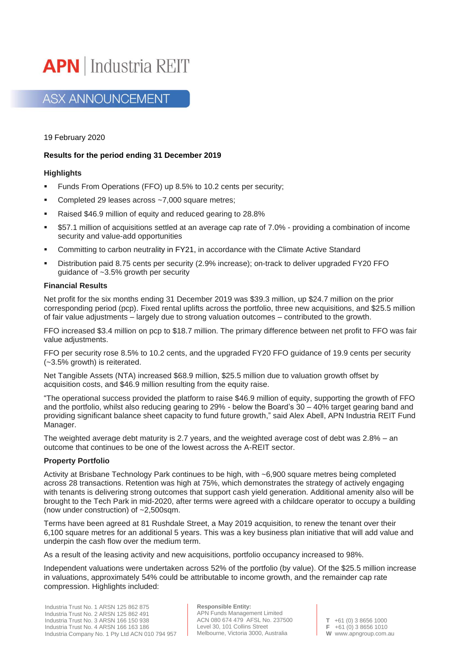

**ASX ANNOUNCEMENT** 

19 February 2020

# **Results for the period ending 31 December 2019**

# **Highlights**

- **EXECUTE:** Funds From Operations (FFO) up 8.5% to 10.2 cents per security;
- Completed 29 leases across  $~1$ ,000 square metres;
- Raised \$46.9 million of equity and reduced gearing to 28.8%
- \$57.1 million of acquisitions settled at an average cap rate of 7.0% providing a combination of income security and value-add opportunities
- **•** Committing to carbon neutrality in FY21, in accordance with the Climate Active Standard
- Distribution paid 8.75 cents per security (2.9% increase); on-track to deliver upgraded FY20 FFO guidance of ~3.5% growth per security

## **Financial Results**

Net profit for the six months ending 31 December 2019 was \$39.3 million, up \$24.7 million on the prior corresponding period (pcp). Fixed rental uplifts across the portfolio, three new acquisitions, and \$25.5 million of fair value adjustments – largely due to strong valuation outcomes – contributed to the growth.

FFO increased \$3.4 million on pcp to \$18.7 million. The primary difference between net profit to FFO was fair value adjustments.

FFO per security rose 8.5% to 10.2 cents, and the upgraded FY20 FFO guidance of 19.9 cents per security (~3.5% growth) is reiterated.

Net Tangible Assets (NTA) increased \$68.9 million, \$25.5 million due to valuation growth offset by acquisition costs, and \$46.9 million resulting from the equity raise.

"The operational success provided the platform to raise \$46.9 million of equity, supporting the growth of FFO and the portfolio, whilst also reducing gearing to 29% - below the Board's 30 – 40% target gearing band and providing significant balance sheet capacity to fund future growth," said Alex Abell, APN Industria REIT Fund Manager.

The weighted average debt maturity is 2.7 years, and the weighted average cost of debt was 2.8% – an outcome that continues to be one of the lowest across the A-REIT sector.

### **Property Portfolio**

Activity at Brisbane Technology Park continues to be high, with ~6,900 square metres being completed across 28 transactions. Retention was high at 75%, which demonstrates the strategy of actively engaging with tenants is delivering strong outcomes that support cash yield generation. Additional amenity also will be brought to the Tech Park in mid-2020, after terms were agreed with a childcare operator to occupy a building (now under construction) of ~2,500sqm.

Terms have been agreed at 81 Rushdale Street, a May 2019 acquisition, to renew the tenant over their 6,100 square metres for an additional 5 years. This was a key business plan initiative that will add value and underpin the cash flow over the medium term.

As a result of the leasing activity and new acquisitions, portfolio occupancy increased to 98%.

Independent valuations were undertaken across 52% of the portfolio (by value). Of the \$25.5 million increase in valuations, approximately 54% could be attributable to income growth, and the remainder cap rate compression. Highlights included:

**Responsible Entity:** APN Funds Management Limited ACN 080 674 479 AFSL No. 237500 Level 30, 101 Collins Street Melbourne, Victoria 3000, Australia

**T** +61 (0) 3 8656 1000 **F** +61 (0) 3 8656 1010 **W** www.apngroup.com.au